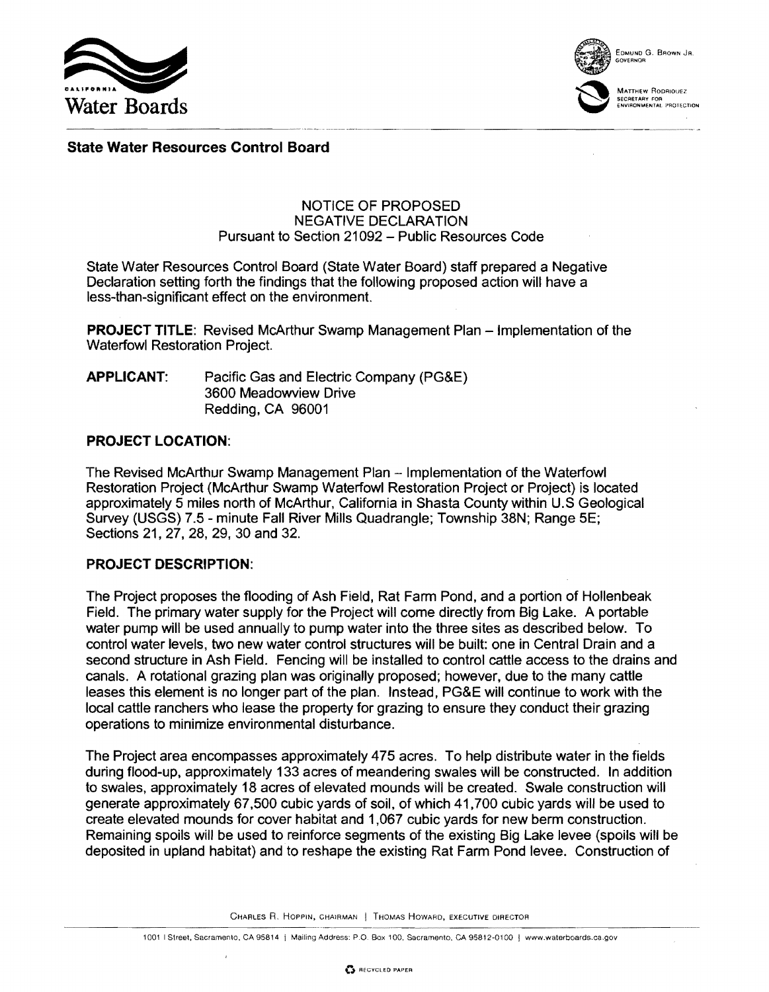



EDMUND G. BROWN JR, GOVERNOR

MATTHEW RODRIOUEZ SECRETARY FOR ENVIRONMENTAL PROTECTION

# State Water Resources Control Board

#### NOTICE OF PROPOSED NEGATIVE DECLARATION Pursuant to Section 21092 - Public Resources Code

State Water Resources Control Board (State Water Board) staff prepared a Negative Declaration setting forth the findings that the following proposed action will have a less-than-significant effect on the environment.

**PROJECT TITLE:** Revised McArthur Swamp Management Plan - Implementation of the Waterfowl Restoration Project.

| <b>APPLICANT:</b> | Pacific Gas and Electric Company (PG&E) |
|-------------------|-----------------------------------------|
|                   | 3600 Meadowview Drive                   |
|                   | Redding, CA 96001                       |

## PROJECT LOCATION:

The Revised McArthur Swamp Management Plan - Implementation of the Waterfowl Restoration Project (McArthur Swamp Waterfowl Restoration Project or Project) is located approximately 5 miles north of McArthur, Califomia in Shasta County within U.S Geological Survey (USGS) 7.5 - minute Fall River Mills Quadrangle; Township 38N; Range 5E; Sections 21,27,28,29,30 and 32.

## PROJECT DESCRIPTION:

The Project proposes the flooding of Ash Field, Rat Farm Pond, and a portion of Hollenbeak Field. The primary water supply for the Project will come directly from Big Lake. A portable water pump will be used annually to pump water into the three sites as described below. To control water levels, two new water control structures will be built: one in Central Drain and a second structure in Ash Field. Fencing will be installed to control cattle access to the drains and canals. A rotational grazing plan was originally proposed; however, due to the many cattle leases this element is no longer part of the plan. Instead, PG&E will continue to work with the local cattle ranchers who lease the property for grazing to ensure they conduct their grazing operations to minimize environmental disturbance.

The Project area encompasses approximately 475 acres. To help distribute water in the fields during flood-up, approximately 133 acres of meandering swales will be constructed. In addition to swales, approximately 18 acres of elevated mounds will be created. Swale construction will generate approximately 67,500 cubic yards of soil, of which 41,700 CUbic yards will be used to create elevated mounds for cover habitat and 1,067 cubic yards for new berm construction. Remaining spoilS will be used to reinforce segments of the existing Big Lake levee (spoils will be deposited in upland habitat) and to reshape the existing Rat Farm Pond levee. Construction of